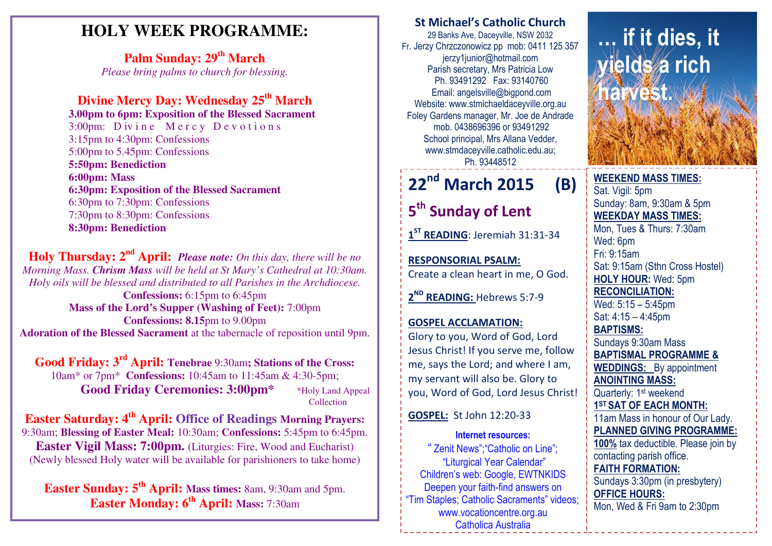### **HOLY WEEK PROGRAMME:**

**Palm Sunday: 29th March** *Please bring palms to church for blessing.* 

### **Divine Mercy Day: Wednesday 25th March**

  **3.00pm to 6pm: Exposition of the Blessed Sacrament** 3:00pm: D iv i n e M e r c y D e v o t i o n s 3:15pm to 4:30pm: Confessions 5:00pm to 5.45pm: Confessions **5:50pm: Benediction 6:00pm: Mass 6:30pm: Exposition of the Blessed Sacrament** 6:30pm to 7:30pm: Confessions 7:30pm to 8:30pm: Confessions **8:30pm: Benediction** 

**Holy Thursday: 2nd April:** *Please note: On this day, there will be no Morning Mass. Chrism Mass will be held at St Mary's Cathedral at 10:30am. Holy oils will be blessed and distributed to all Parishes in the Archdiocese.* **Confessions:** 6:15pm to 6:45pm **Mass of the Lord's Supper (Washing of Feet):** 7:00pm **Confessions: 8.15**pm to 9.00pm **Adoration of the Blessed Sacrament** at the tabernacle of reposition until 9pm.

**Good Friday: 3rd April: Tenebrae** 9:30am**; Stations of the Cross:** 10am\* or 7pm\* **Confessions:** 10:45am to 11:45am & 4:30-5pm; Good Friday Ceremonies: 3:00pm\* \*Holy Land Appeal Collection

**Easter Saturday: 4th April: Office of Readings Morning Prayers:**  9:30am; **Blessing of Easter Meal:** 10:30am; **Confessions:** 5:45pm to 6:45pm. **Easter Vigil Mass: 7:00pm.** (Liturgies: Fire, Wood and Eucharist) (Newly blessed Holy water will be available for parishioners to take home)

**Easter Sunday: 5th April: Mass times:** 8am, 9:30am and 5pm. **Easter Monday: 6th April: Mass:** 7:30am

### St Michael's Catholic Church

29 Banks Ave, Daceyville, NSW 2032 Fr. Jerzy Chrzczonowicz pp mob: 0411 125 357 jerzy1junior@hotmail.com Parish secretary, Mrs Patricia Low Ph. 93491292 Fax: 93140760 Email: angelsville@bigpond.com Website: www.stmichaeldaceyville.org.au Foley Gardens manager, Mr. Joe de Andrade mob. 0438696396 or 93491292 School principal, Mrs Allana Vedder, www.stmdaceyville.catholic.edu.au; Ph. 93448512

## 22<sup>nd</sup> March 2015 (B)

5<sup>th</sup> Sunday of Lent

1<sup>ST</sup> READING: Jeremiah 31:31-34

RESPONSORIAL PSALM: Create a clean heart in me, O God.

2<sup>ND</sup> READING: Hebrews 5:7-9

### GOSPEL ACCLAMATION:Glory to you, Word of God, Lord Jesus Christ! If you serve me, follow me, says the Lord; and where I am, my servant will also be. Glory to you, Word of God, Lord Jesus Christ!

### GOSPEL: St John 12:20-33

Internet resources: " Zenit News";"Catholic on Line"; "Liturgical Year Calendar" Children's web: Google, EWTNKIDS Deepen your faith-find answers on "Tim Staples; Catholic Sacraments" videos; www.vocationcentre.org.au Catholica Australia

# … if it dies, it elds a rich harvest.

**By Zuccarelli** 

### WEEKEND MASS TIMES:Sat. Vigil: 5pm Sunday: 8am, 9:30am & 5pm WEEKDAY MASS TIMES: Mon, Tues & Thurs: 7:30am Wed: 6pm Fri: 9:15am Sat: 9:15am (Sthn Cross Hostel) HOLY HOUR: Wed: 5pm RECONCILIATION: Wed: 5:15 – 5:45pm Sat: 4:15 – 4:45pm BAPTISMS: Sundays 9:30am Mass BAPTISMAL PROGRAMME & WEDDINGS: By appointment ANOINTING MASS: Quarterly: 1<sup>st</sup> weekend 1<sup>ST</sup> SAT OF EACH MONTH: 11am Mass in honour of Our Lady. PLANNED GIVING PROGRAMME: 100% tax deductible. Please join by contacting parish office. FAITH FORMATION: Sundays 3:30pm (in presbytery) OFFICE HOURS: Mon, Wed & Fri 9am to 2:30pm